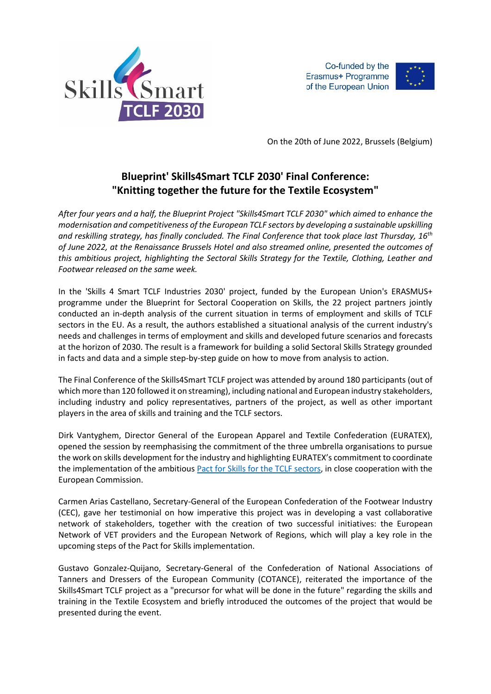

Co-funded by the Erasmus+ Programme of the European Union



On the 20th of June 2022, Brussels (Belgium)

## **Blueprint' Skills4Smart TCLF 2030' Final Conference: "Knitting together the future for the Textile Ecosystem"**

*After four years and a half, the Blueprint Project "Skills4Smart TCLF 2030" which aimed to enhance the modernisation and competitiveness of the European TCLF sectors by developing a sustainable upskilling and reskilling strategy, has finally concluded. The Final Conference that took place last Thursday, 16th of June 2022, at the Renaissance Brussels Hotel and also streamed online, presented the outcomes of this ambitious project, highlighting the Sectoral Skills Strategy for the Textile, Clothing, Leather and Footwear released on the same week.*

In the 'Skills 4 Smart TCLF Industries 2030' project, funded by the European Union's ERASMUS+ programme under the Blueprint for Sectoral Cooperation on Skills, the 22 project partners jointly conducted an in-depth analysis of the current situation in terms of employment and skills of TCLF sectors in the EU. As a result, the authors established a situational analysis of the current industry's needs and challenges in terms of employment and skills and developed future scenarios and forecasts at the horizon of 2030. The result is a framework for building a solid Sectoral Skills Strategy grounded in facts and data and a simple step-by-step guide on how to move from analysis to action.

The Final Conference of the Skills4Smart TCLF project was attended by around 180 participants (out of which more than 120 followed it on streaming), including national and European industry stakeholders, including industry and policy representatives, partners of the project, as well as other important players in the area of skills and training and the TCLF sectors.

Dirk Vantyghem, Director General of the European Apparel and Textile Confederation (EURATEX), opened the session by reemphasising the commitment of the three umbrella organisations to pursue the work on skills development for the industry and highlighting EURATEX's commitment to coordinate the implementation of the ambitious Pact [for Skills for the TCLF sectors,](https://euratex.eu/wp-content/uploads/TCLF-Pact-for-Skills-FINAL-v1.pdf) in close cooperation with the European Commission.

Carmen Arias Castellano, Secretary-General of the European Confederation of the Footwear Industry (CEC), gave her testimonial on how imperative this project was in developing a vast collaborative network of stakeholders, together with the creation of two successful initiatives: the European Network of VET providers and the European Network of Regions, which will play a key role in the upcoming steps of the Pact for Skills implementation.

Gustavo Gonzalez-Quijano, Secretary-General of the Confederation of National Associations of Tanners and Dressers of the European Community (COTANCE), reiterated the importance of the Skills4Smart TCLF project as a "precursor for what will be done in the future" regarding the skills and training in the Textile Ecosystem and briefly introduced the outcomes of the project that would be presented during the event.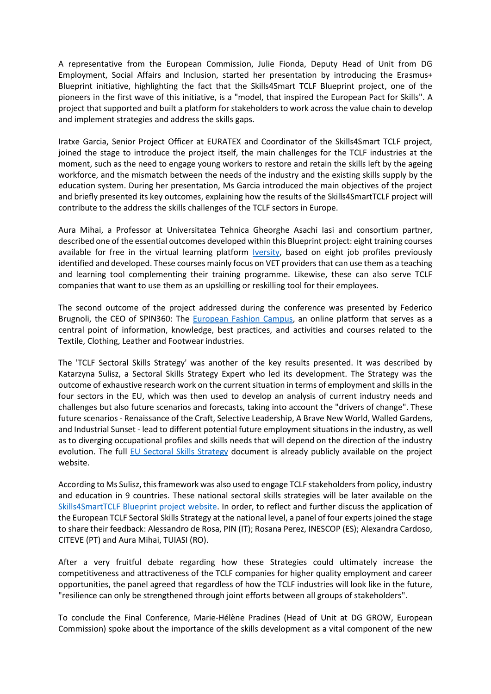A representative from the European Commission, Julie Fionda, Deputy Head of Unit from DG Employment, Social Affairs and Inclusion, started her presentation by introducing the Erasmus+ Blueprint initiative, highlighting the fact that the Skills4Smart TCLF Blueprint project, one of the pioneers in the first wave of this initiative, is a "model, that inspired the European Pact for Skills". A project that supported and built a platform for stakeholders to work across the value chain to develop and implement strategies and address the skills gaps.

Iratxe Garcia, Senior Project Officer at EURATEX and Coordinator of the Skills4Smart TCLF project, joined the stage to introduce the project itself, the main challenges for the TCLF industries at the moment, such as the need to engage young workers to restore and retain the skills left by the ageing workforce, and the mismatch between the needs of the industry and the existing skills supply by the education system. During her presentation, Ms Garcia introduced the main objectives of the project and briefly presented its key outcomes, explaining how the results of the Skills4SmartTCLF project will contribute to the address the skills challenges of the TCLF sectors in Europe.

Aura Mihai, a Professor at Universitatea Tehnica Gheorghe Asachi Iasi and consortium partner, described one of the essential outcomes developed within this Blueprint project: eight training courses available for free in the virtual learning platform **Iversity**, based on eight job profiles previously identified and developed. These courses mainly focus on VET providers that can use them as a teaching and learning tool complementing their training programme. Likewise, these can also serve TCLF companies that want to use them as an upskilling or reskilling tool for their employees.

The second outcome of the project addressed during the conference was presented by Federico Brugnoli, the CEO of SPIN360: The [European Fashion Campus,](https://www.europeanfashioncampus.com/) an online platform that serves as a central point of information, knowledge, best practices, and activities and courses related to the Textile, Clothing, Leather and Footwear industries.

The 'TCLF Sectoral Skills Strategy' was another of the key results presented. It was described by Katarzyna Sulisz, a Sectoral Skills Strategy Expert who led its development. The Strategy was the outcome of exhaustive research work on the current situation in terms of employment and skills in the four sectors in the EU, which was then used to develop an analysis of current industry needs and challenges but also future scenarios and forecasts, taking into account the "drivers of change". These future scenarios - Renaissance of the Craft, Selective Leadership, A Brave New World, Walled Gardens, and Industrial Sunset - lead to different potential future employment situations in the industry, as well as to diverging occupational profiles and skills needs that will depend on the direction of the industry evolution. The full [EU Sectoral Skills Strategy](https://s4tclfblueprint.eu/wp-content/uploads/2022/06/Sectoral-Skills-Strategy-for-the-EU-TCLF-industries.pdf) document is already publicly available on the project website.

According to Ms Sulisz, this framework was also used to engage TCLF stakeholders from policy, industry and education in 9 countries. These national sectoral skills strategies will be later available on the [Skills4SmartTCLF Blueprint project website.](https://s4tclfblueprint.eu/) In order, to reflect and further discuss the application of the European TCLF Sectoral Skills Strategy at the national level, a panel of four experts joined the stage to share their feedback: Alessandro de Rosa, PIN (IT); Rosana Perez, INESCOP (ES); Alexandra Cardoso, CITEVE (PT) and Aura Mihai, TUIASI (RO).

After a very fruitful debate regarding how these Strategies could ultimately increase the competitiveness and attractiveness of the TCLF companies for higher quality employment and career opportunities, the panel agreed that regardless of how the TCLF industries will look like in the future, "resilience can only be strengthened through joint efforts between all groups of stakeholders".

To conclude the Final Conference, Marie-Hélène Pradines (Head of Unit at DG GROW, European Commission) spoke about the importance of the skills development as a vital component of the new